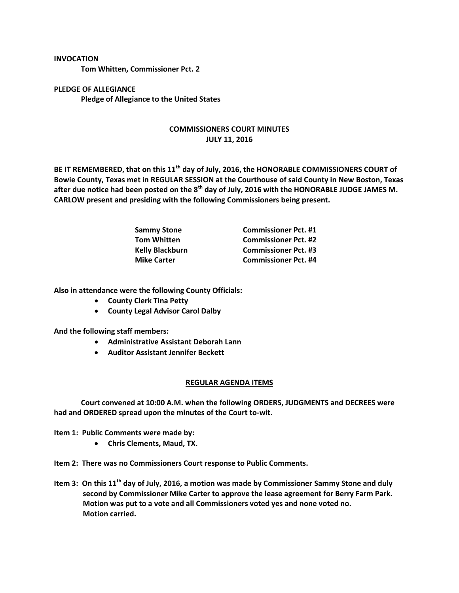## **INVOCATION**

**Tom Whitten, Commissioner Pct. 2**

**PLEDGE OF ALLEGIANCE Pledge of Allegiance to the United States**

## **COMMISSIONERS COURT MINUTES JULY 11, 2016**

**BE IT REMEMBERED, that on this 11th day of July, 2016, the HONORABLE COMMISSIONERS COURT of Bowie County, Texas met in REGULAR SESSION at the Courthouse of said County in New Boston, Texas after due notice had been posted on the 8th day of July, 2016 with the HONORABLE JUDGE JAMES M. CARLOW present and presiding with the following Commissioners being present.**

| <b>Sammy Stone</b>     | <b>Commissioner Pct. #1</b> |
|------------------------|-----------------------------|
| <b>Tom Whitten</b>     | <b>Commissioner Pct. #2</b> |
| <b>Kelly Blackburn</b> | <b>Commissioner Pct. #3</b> |
| <b>Mike Carter</b>     | <b>Commissioner Pct. #4</b> |

**Also in attendance were the following County Officials:**

- **•** County Clerk Tina Petty
- **County Legal Advisor Carol Dalby**

**And the following staff members:**

- **Administrative Assistant Deborah Lann**
- **Auditor Assistant Jennifer Beckett**

## **REGULAR AGENDA ITEMS**

**Court convened at 10:00 A.M. when the following ORDERS, JUDGMENTS and DECREES were had and ORDERED spread upon the minutes of the Court to-wit.**

**Item 1: Public Comments were made by:**

**Chris Clements, Maud, TX.**

**Item 2: There was no Commissioners Court response to Public Comments.**

**Item 3: On this 11th day of July, 2016, a motion was made by Commissioner Sammy Stone and duly second by Commissioner Mike Carter to approve the lease agreement for Berry Farm Park. Motion was put to a vote and all Commissioners voted yes and none voted no. Motion carried.**